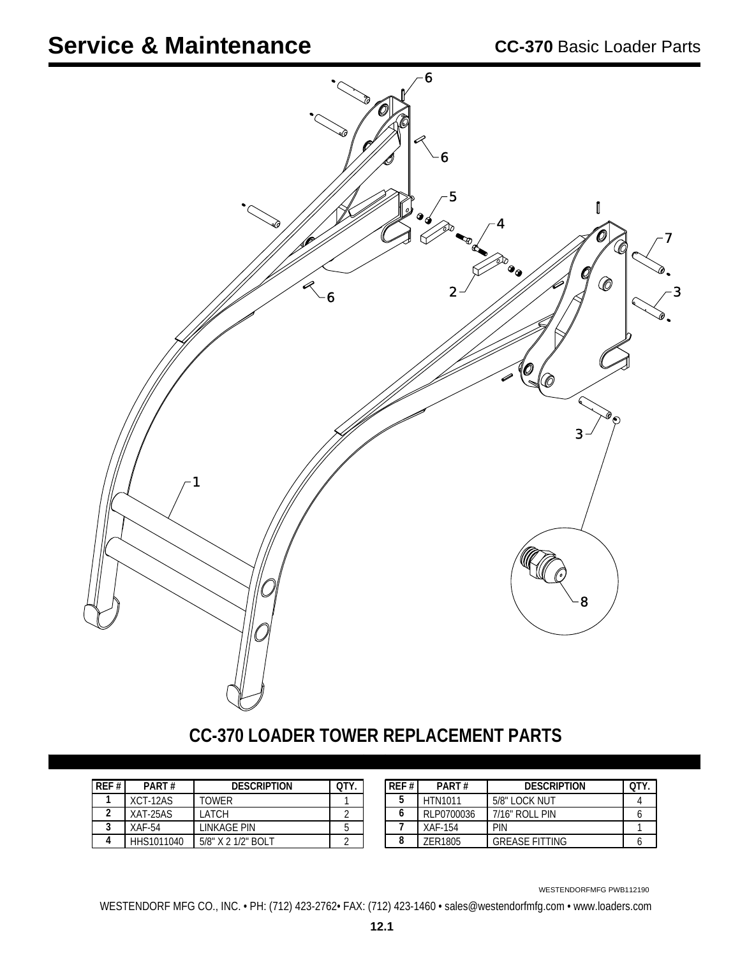

## **CC-370 LOADER TOWER REPLACEMENT PARTS**

| RFF# | PART#      | <b>DESCRIPTION</b> | OTY |
|------|------------|--------------------|-----|
|      | $XCT-12AS$ | TOWFR              |     |
|      | XAT-25AS   | I ATCH             |     |
|      | XAF-54     | LINKAGE PIN        |     |
|      | HHS1011040 | 5/8" X 2 1/2" BOLT |     |

| RFF# | PART#          | <b>DESCRIPTION</b>    | OTY |
|------|----------------|-----------------------|-----|
| 5    | <b>HTN1011</b> | 5/8" LOCK NUT         |     |
| 6    | RLP0700036     | 7/16" ROLL PIN        |     |
|      | XAF-154        | PIN                   |     |
| 8    | 7FR1805        | <b>GREASE FITTING</b> |     |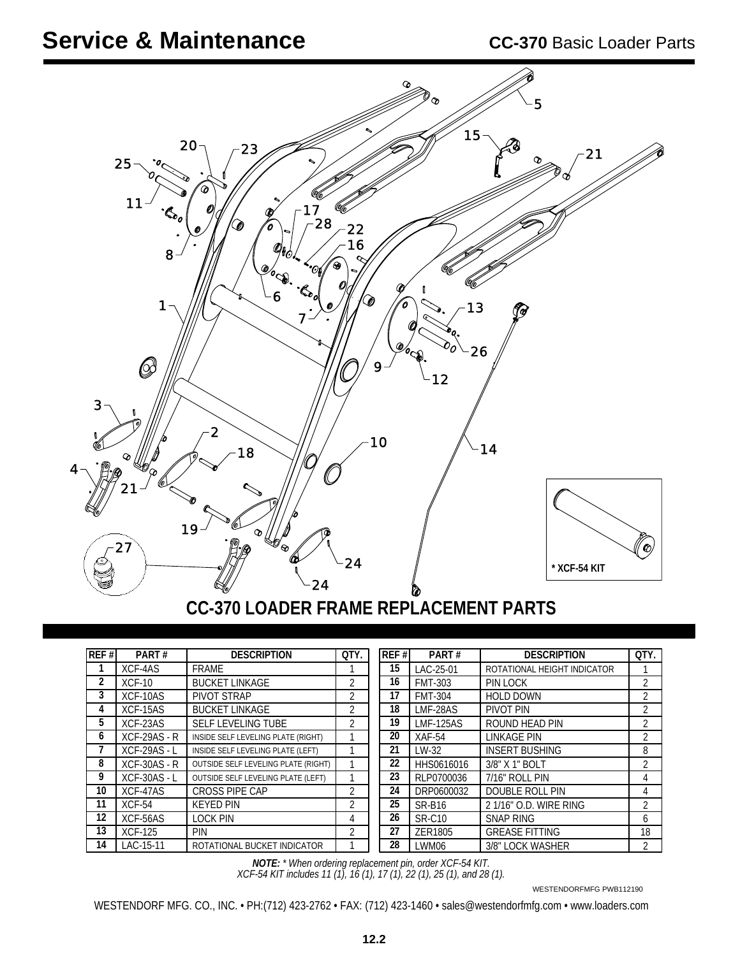

## **CC-370 LOADER FRAME REPLACEMENT PARTS**

| REF# | PART#               | <b>DESCRIPTION</b>                  | QTY.           | REF# | PART#            | <b>DESCRIPTION</b>          | QTY.           |
|------|---------------------|-------------------------------------|----------------|------|------------------|-----------------------------|----------------|
|      | XCF-4AS             | FRAME                               |                | 15   | LAC-25-01        | ROTATIONAL HEIGHT INDICATOR |                |
| 2    | $XCF-10$            | <b>BUCKET LINKAGE</b>               | 2              | 16   | <b>FMT-303</b>   | PIN LOCK                    | 2              |
| 3    | XCF-10AS            | PIVOT STRAP                         | $\mathfrak{D}$ | 17   | <b>FMT-304</b>   | <b>HOLD DOWN</b>            | $\overline{2}$ |
| 4    | XCF-15AS            | <b>BUCKET LINKAGE</b>               | 2              | 18   | LMF-28AS         | PIVOT PIN                   | 2              |
| 5    | XCF-23AS            | <b>SELF LEVELING TUBE</b>           | 2              | 19   | <b>LMF-125AS</b> | ROUND HEAD PIN              | 2              |
| 6    | $XCF-29AS - R$      | INSIDE SELF LEVELING PLATE (RIGHT)  |                | 20   | $XAF-54$         | LINKAGE PIN                 | 2              |
|      | <b>XCF-29AS - L</b> | INSIDE SELF LEVELING PLATE (LEFT)   |                | 21   | $LW-32$          | <b>INSERT BUSHING</b>       | 8              |
| 8    | $XCF-30AS - R$      | OUTSIDE SELF LEVELING PLATE (RIGHT) |                | 22   | HHS0616016       | 3/8" X 1" BOLT              | $\overline{2}$ |
| 9    | <b>XCF-30AS - L</b> | OUTSIDE SELF LEVELING PLATE (LEFT)  |                | 23   | RLP0700036       | 7/16" ROLL PIN              | 4              |
| 10   | XCF-47AS            | CROSS PIPE CAP                      | 2              | 24   | DRP0600032       | DOUBLE ROLL PIN             | 4              |
| 11   | $XCF-54$            | <b>KEYED PIN</b>                    | $\mathfrak{D}$ | 25   | <b>SR-B16</b>    | 2 1/16" O.D. WIRE RING      | $\overline{2}$ |
| 12   | XCF-56AS            | <b>LOCK PIN</b>                     | 4              | 26   | <b>SR-C10</b>    | SNAP RING                   | 6              |
| 13   | <b>XCF-125</b>      | <b>PIN</b>                          | 2              | 27   | ZER1805          | <b>GREASE FITTING</b>       | 18             |
| 14   | LAC-15-11           | ROTATIONAL BUCKET INDICATOR         |                | 28   | LWM06            | 3/8" LOCK WASHER            | $\overline{2}$ |

*XCF-54 KIT includes 11 (1), 16 (1), 17 (1), 22 (1), 25 (1), and 28 (1). NOTE: \* When ordering replacement pin, order XCF-54 KIT.*

WESTENDORFMFG PWB112190

WESTENDORF MFG. CO., INC. • PH:(712) 423-2762 • FAX: (712) 423-1460 • sales@westendorfmfg.com • www.loaders.com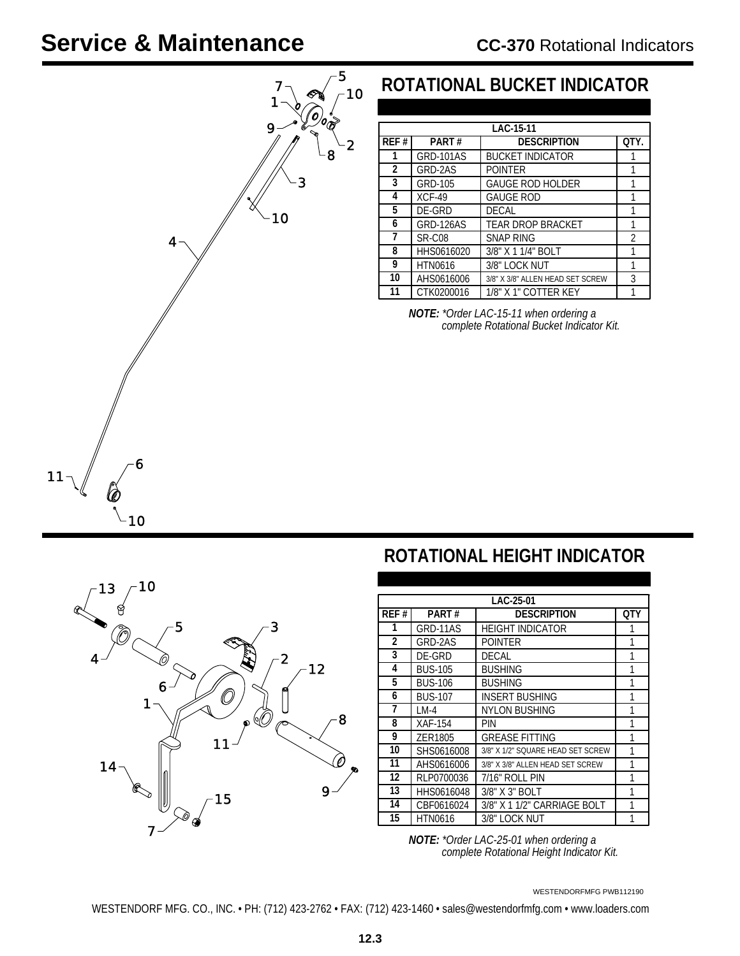### CC-370 Rotational Indicators



### **ROTATIONAL BUCKET INDICATOR**

|      | LAC-15-11        |                                  |                |  |  |  |
|------|------------------|----------------------------------|----------------|--|--|--|
| REF# | PART#            | <b>DESCRIPTION</b>               | OTY.           |  |  |  |
| 1    | <b>GRD-101AS</b> | <b>BUCKET INDICATOR</b>          |                |  |  |  |
| 2    | GRD-2AS          | <b>POINTER</b>                   |                |  |  |  |
| 3    | GRD-105          | <b>GAUGE ROD HOLDER</b>          |                |  |  |  |
| 4    | $XCF-49$         | <b>GAUGE ROD</b>                 |                |  |  |  |
| 5    | DE-GRD           | DECAL                            | 1              |  |  |  |
| 6    | GRD-126AS        | TEAR DROP BRACKET                |                |  |  |  |
| 7    | SR-C08           | <b>SNAP RING</b>                 | $\mathfrak{D}$ |  |  |  |
| 8    | HHS0616020       | 3/8" X 1 1/4" BOLT               |                |  |  |  |
| 9    | <b>HTN0616</b>   | 3/8" LOCK NUT                    |                |  |  |  |
| 10   | AHS0616006       | 3/8" X 3/8" ALLEN HEAD SET SCREW | 3              |  |  |  |
| 11   | CTK0200016       | 1/8" X 1" COTTER KEY             |                |  |  |  |

*NOTE: \*Order LAC-15-11 when ordering a complete Rotational Bucket Indicator Kit.*



## **ROTATIONAL HEIGHT INDICATOR**

|      |                                  | LAC-25-01                         |     |  |
|------|----------------------------------|-----------------------------------|-----|--|
| REF# | PART#                            | <b>DESCRIPTION</b>                | 0TY |  |
| 1    | GRD-11AS                         | <b>HEIGHT INDICATOR</b>           |     |  |
| 2    | GRD-2AS                          | <b>POINTER</b>                    | 1   |  |
| 3    | DE-GRD                           | <b>DECAL</b>                      |     |  |
| 4    | <b>BUS-105</b>                   | <b>BUSHING</b>                    |     |  |
| 5    | <b>BUS-106</b><br><b>BUSHING</b> |                                   |     |  |
| 6    | <b>BUS-107</b>                   | <b>INSERT BUSHING</b>             |     |  |
| 7    | $LM-4$                           | <b>NYLON BUSHING</b>              |     |  |
| 8    | XAF-154                          | PIN                               |     |  |
| 9    | ZER1805                          | <b>GREASE FITTING</b>             | 1   |  |
| 10   | SHS0616008                       | 3/8" X 1/2" SQUARE HEAD SET SCREW |     |  |
| 11   | AHS0616006                       | 3/8" X 3/8" ALLEN HEAD SET SCREW  | 1   |  |
| 12   | RLP0700036                       | 7/16" ROLL PIN                    | 1   |  |
| 13   | HHS0616048                       | 3/8" X 3" BOLT                    | 1   |  |
| 14   | CBF0616024                       | 3/8" X 1 1/2" CARRIAGE BOLT       |     |  |
| 15   | <b>HTN0616</b>                   | 3/8" LOCK NUT                     | 1   |  |

 *complete Rotational Height Indicator Kit. NOTE: \*Order LAC-25-01 when ordering a*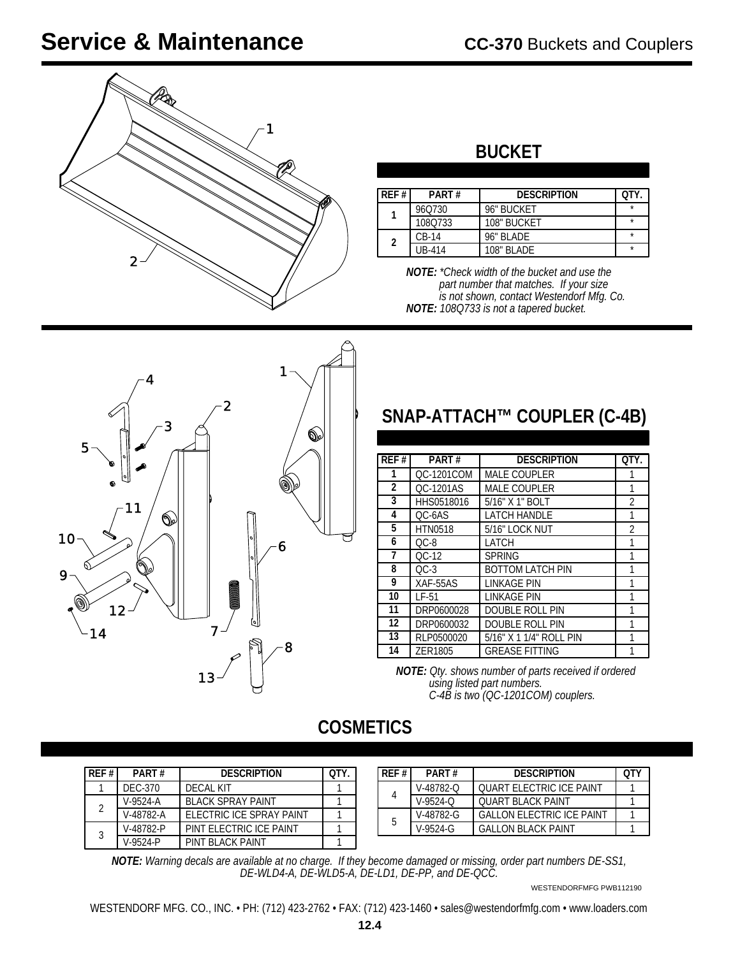

## **BUCKET**

| RFF# | <b>PART#</b> | <b>DESCRIPTION</b> | nт۱ |
|------|--------------|--------------------|-----|
|      | 960730       | 96" BUCKET         | ÷   |
|      | 1080733      | 108" BUCKET        |     |
| 2    | $CR-14$      | 96" BI ADF         |     |
|      | UB-414       | 108" BI ADF        | ٠   |

 *part number that matches. If your size is not shown, contact Westendorf Mfg. Co. NOTE: 108Q733 is not a tapered bucket. NOTE: \*Check width of the bucket and use the*



## **SNAP-ATTACH™ COUPLER (C-4B)**

| REF#           | PART#                            | <b>DESCRIPTION</b>      | OTY. |
|----------------|----------------------------------|-------------------------|------|
| 1              | <b>QC-1201COM</b>                | <b>MALE COUPLER</b>     |      |
| $\overline{2}$ | OC-1201AS                        | <b>MALE COUPLER</b>     |      |
| 3              | HHS0518016                       | 5/16" X 1" BOLT         |      |
| 4              | <b>LATCH HANDLE</b><br>QC-6AS    |                         | 1    |
| 5              | <b>HTN0518</b><br>5/16" LOCK NUT |                         | 2    |
| 6              | $OC-8$<br>LATCH                  |                         |      |
| 7              | $OC-12$                          | <b>SPRING</b>           |      |
| 8              | $OC-3$                           | <b>BOTTOM LATCH PIN</b> |      |
| 9              | XAF-55AS                         | LINKAGE PIN             | 1    |
| 10             | $LF-51$                          | LINKAGE PIN             |      |
| 11             | DRP0600028<br>DOUBLE ROLL PIN    |                         |      |
| 12             | DRP0600032                       | DOUBLE ROLL PIN         |      |
| 13             | RLP0500020                       | 5/16" X 1 1/4" ROLL PIN | 1    |
| 14             | ZER1805                          | <b>GREASE FITTING</b>   |      |

*Qty. shows number of parts received if ordered NOTE: using listed part numbers. C-4B is two (QC-1201COM) couplers.*

### **COSMETICS**

| RFF# | PART#      | <b>DESCRIPTION</b>       |  |
|------|------------|--------------------------|--|
|      | DEC-370    | DECAL KIT                |  |
| 2    | $V-9524-A$ | <b>BLACK SPRAY PAINT</b> |  |
|      | V-48782-A  | FLECTRIC ICE SPRAY PAINT |  |
| 3    | V-48782-P  | PINT ELECTRIC ICE PAINT  |  |
|      | V-9524-P   | PINT BI ACK PAINT        |  |

| REF # | PART#         | <b>DESCRIPTION</b>               | ∩тν |
|-------|---------------|----------------------------------|-----|
|       | V-48782-Q     | <b>OUART ELECTRIC ICE PAINT</b>  |     |
|       | $V-9524-C$    | <b>OUART BLACK PAINT</b>         |     |
| 5     | $V-48782 - G$ | <b>GALLON ELECTRIC ICE PAINT</b> |     |
|       | $V-9524-G$    | GALLON BLACK PAINT               |     |

*NOTE: Warning decals are available at no charge. If they become damaged or missing, order part numbers DE-SS1, DE-WLD4-A, DE-WLD5-A, DE-LD1, DE-PP, and DE-QCC.*

WESTENDORFMFG PWB112190

WESTENDORF MFG. CO., INC. • PH: (712) 423-2762 • FAX: (712) 423-1460 • sales@westendorfmfg.com • www.loaders.com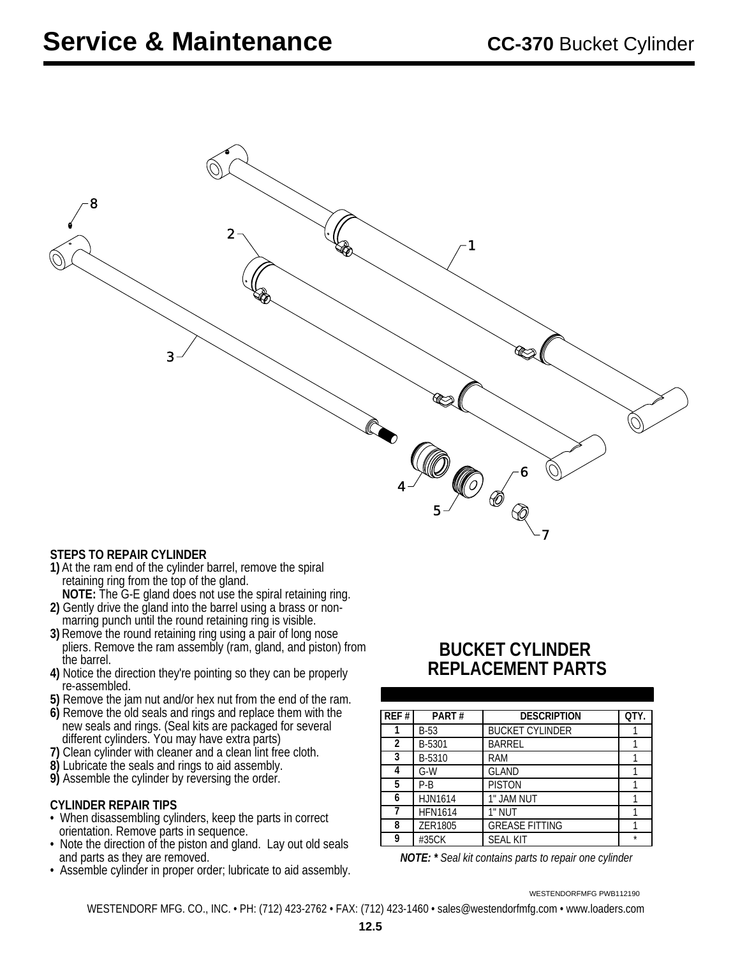

#### **STEPS TO REPAIR CYLINDER**

- **1)** At the ram end of the cylinder barrel, remove the spiral retaining ring from the top of the gland.
- **NOTE:** The G-E gland does not use the spiral retaining ring. **2)** Gently drive the gland into the barrel using a brass or non marring punch until the round retaining ring is visible.
- **3)** Remove the round retaining ring using a pair of long nose pliers. Remove the ram assembly (ram, gland, and piston) from the barrel.
- **4)** Notice the direction they're pointing so they can be properly re-assembled.
- **5)** Remove the jam nut and/or hex nut from the end of the ram.
- **6)** Remove the old seals and rings and replace them with the new seals and rings. (Seal kits are packaged for several different cylinders. You may have extra parts)
- **7)** Clean cylinder with cleaner and a clean lint free cloth.
- **8)** Lubricate the seals and rings to aid assembly.
- **9)** Assemble the cylinder by reversing the order.

#### **CYLINDER REPAIR TIPS**

- orientation. Remove parts in sequence. • When disassembling cylinders, keep the parts in correct
- and parts as they are removed. • Note the direction of the piston and gland. Lay out old seals
- Assemble cylinder in proper order; lubricate to aid assembly.

### **BUCKET CYLINDER REPLACEMENT PARTS**

| REF# | PART#                | <b>DESCRIPTION</b>     | OTY. |
|------|----------------------|------------------------|------|
|      | $B-53$               | <b>BUCKET CYLINDER</b> |      |
| 2    | B-5301               | <b>BARREL</b>          |      |
| 3    | B-5310               | <b>RAM</b>             |      |
| 4    | $G-W$                | <b>GLAND</b>           |      |
| 5    | <b>PISTON</b><br>P-B |                        |      |
| 6    | HJN1614              | 1" JAM NUT             |      |
|      | <b>HFN1614</b>       | 1" NUT                 |      |
| 8    | ZER1805              | <b>GREASE FITTING</b>  |      |
| 9    | #35CK                | <b>SEAL KIT</b>        | ÷    |

*NOTE: \* Seal kit contains parts to repair one cylinder*

WESTENDORFMFG PWB112190

WESTENDORF MFG. CO., INC. • PH: (712) 423-2762 • FAX: (712) 423-1460 • sales@westendorfmfg.com • www.loaders.com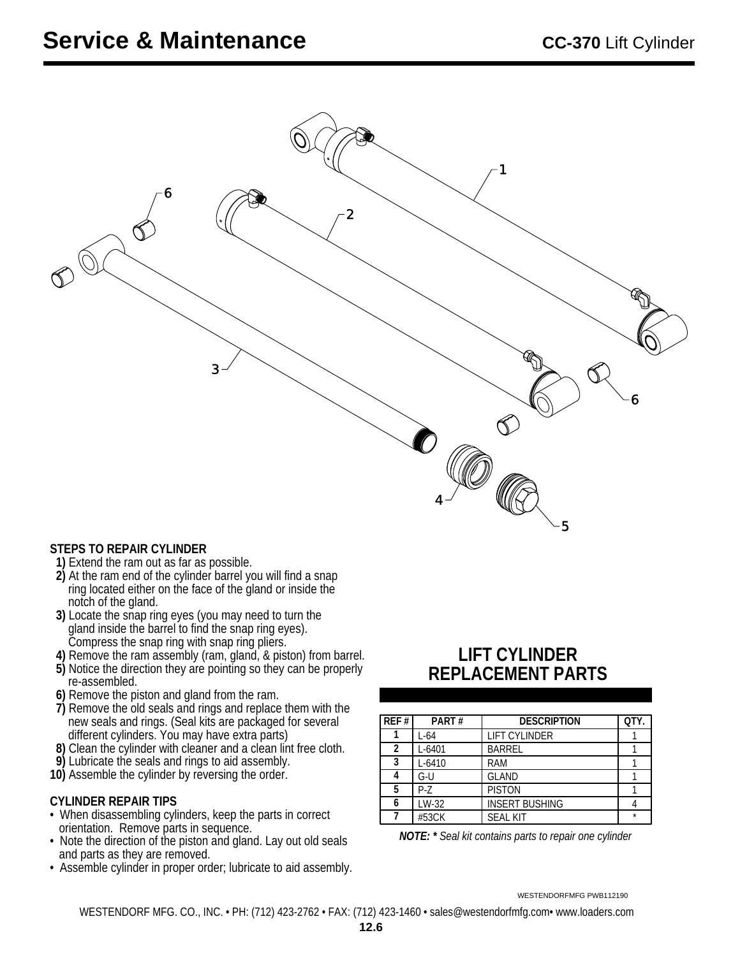

#### **STEPS TO REPAIR CYLINDER**

- 1) Extend the ram out as far as possible.
- 2) At the ram end of the cylinder barrel you will find a snap ring located either on the face of the gland or inside the notch of the gland.
- **3)** Locate the snap ring eyes (you may need to turn the gland inside the barrel to find the snap ring eyes). Compress the snap ring with snap ring pliers.
- **4)** Remove the ram assembly (ram, gland, & piston) from barrel.
- **5)** Notice the direction they are pointing so they can be properly re-assembled.
- **6)** Remove the piston and gland from the ram.
- **7)** Remove the old seals and rings and replace them with the new seals and rings. (Seal kits are packaged for several different cylinders. You may have extra parts)
- **8)** Clean the cylinder with cleaner and a clean lint free cloth.
- **9)** Lubricate the seals and rings to aid assembly.
- **10)** Assemble the cylinder by reversing the order.

#### **CYLINDER REPAIR TIPS**

- When disassembling cylinders, keep the parts in correct orientation. Remove parts in sequence.
- Note the direction of the piston and gland. Lay out old seals and parts as they are removed.
- Assemble cylinder in proper order; lubricate to aid assembly.

### **LIFT CYLINDER REPLACEMENT PARTS**

| REF# | PART#      | <b>DESCRIPTION</b>    | QTY.    |
|------|------------|-----------------------|---------|
|      | L-64       | <b>LIFT CYLINDER</b>  |         |
| 2    | L-6401     | <b>BARREL</b>         |         |
| 3    | $L - 6410$ | <b>RAM</b>            |         |
|      | G-U        | <b>GLAND</b>          |         |
| 5    | P-7        | <b>PISTON</b>         |         |
| 6    | LW-32      | <b>INSERT BUSHING</b> |         |
|      | #53CK      | <b>SEAL KIT</b>       | $\star$ |

*NOTE: \* Seal kit contains parts to repair one cylinder*